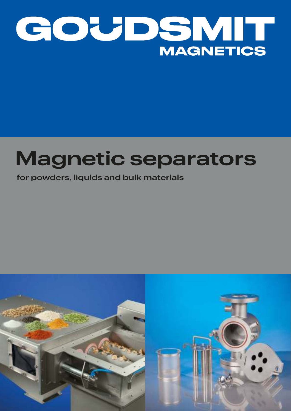

# **Magnetic separators**

# **for powders, liquids and bulk materials**

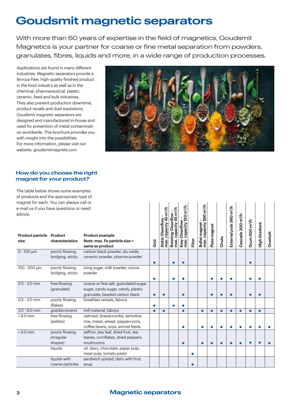# **Goudsmit magnetic separators**

With more than 60 years of expertise in the field of magnetics, Goudsmit Magnetics is your partner for coarse or fine metal separation from powders, granulates, fibres, liquids and more, in a wide range of production processes.

Applications are found in many different industries. Magnetic separators provide a ferrous-free, high-quality finished product in the food industry as well as in the chemical, pharmaceutical, plastic, ceramic, feed and bulk industries. They also prevent production downtime, product recalls and dust explosions. Goudsmit magnetic separators are designed and manufactured in-house and used for prevention of metal contamination worldwide. This brochure provides you with insight into the possibilities. For more information, please visit our website: goudsmitmagnets.com



#### **How do you choose the right magnet for your product?**

The table below shows some examples of products and the appropriate type of magnet for each. You can always call or e-mail us if you have questions or need

|                                         | magnet for each. You can always call or |                                                         |           |                                                          |                                                 |                                                               |        |                                                        |              |           |                                     |                               |                            |                      |          |
|-----------------------------------------|-----------------------------------------|---------------------------------------------------------|-----------|----------------------------------------------------------|-------------------------------------------------|---------------------------------------------------------------|--------|--------------------------------------------------------|--------------|-----------|-------------------------------------|-------------------------------|----------------------------|----------------------|----------|
|                                         | e-mail us if you have questions or need |                                                         |           |                                                          |                                                 |                                                               |        |                                                        |              |           |                                     |                               |                            |                      |          |
| advice.                                 |                                         |                                                         |           |                                                          | m <sup>3</sup> /h                               |                                                               |        |                                                        |              |           |                                     |                               |                            |                      |          |
| <b>Product particle Product</b><br>size | characteristics                         | <b>Product example</b><br>Note: max. Fe particle size = | Grid      | Static Cleanflow –<br>max. capacity 45 m <sup>3</sup> /h | Cleanflow<br>45<br>capacity<br>Rotating<br>max. | Cleanflow -<br>capacity 120 m <sup>3</sup> /h<br>Easy<br>max. | Filter | Bullet magnet –<br>max. capacity 550 m <sup>3</sup> /h | Plate magnet | Chute     | External pole 360 m <sup>3</sup> /h | Cascade 300 m <sup>3</sup> /h | Drum 300 m <sup>3</sup> /h | <b>High Gradient</b> | Overbelt |
|                                         |                                         | same as product                                         |           |                                                          |                                                 |                                                               |        |                                                        |              |           |                                     |                               |                            |                      |          |
| $0 - 100 \mu m$                         | poorly flowing,                         | carbon black powder, alu oxide,                         |           |                                                          |                                                 |                                                               |        |                                                        |              |           |                                     |                               |                            |                      |          |
|                                         | bridging, sticky                        | ceramic powder, pharma powder                           |           |                                                          |                                                 |                                                               |        |                                                        |              |           |                                     |                               | $\bullet$                  |                      |          |
| 100 - 500 µm                            | poorly flowing,                         | icing sugar, milk powder, cocoa                         |           |                                                          |                                                 |                                                               |        |                                                        |              |           |                                     |                               |                            |                      |          |
|                                         | bridging, sticky                        | powder                                                  |           |                                                          |                                                 |                                                               |        |                                                        |              |           |                                     |                               |                            |                      |          |
|                                         |                                         |                                                         |           |                                                          |                                                 |                                                               |        |                                                        |              |           |                                     |                               |                            |                      |          |
| $0.5 - 3.0$ mm                          | free-flowing                            | coarse or fine salt, granulated sugar,                  |           |                                                          |                                                 |                                                               |        |                                                        |              |           |                                     |                               |                            |                      |          |
|                                         | (granulate)                             | sugar, candy sugar, candy, plastic                      |           |                                                          |                                                 |                                                               |        |                                                        |              |           |                                     |                               |                            |                      |          |
|                                         |                                         | granulate, beaded carbon black                          | $\bullet$ | $\bullet$                                                |                                                 | $\bullet$                                                     |        |                                                        | $\bullet$    |           |                                     |                               | $\bullet$                  |                      |          |
| $0.5 - 3.0$ mm                          | poorly flowing<br>(flakes)              | breakfast cereals, fabrics                              |           |                                                          |                                                 |                                                               |        |                                                        |              |           |                                     |                               |                            |                      |          |
| $3.0 - 6.0$ mm                          | goedstromend                            | mill material, fabrics                                  | $\bullet$ | $\bullet$                                                |                                                 | $\bullet$                                                     |        | $\bullet$                                              | $\bullet$    | $\bullet$ | $\bullet$                           | $\bullet$                     | $\bullet$                  | $\bullet$            |          |
| $>6.0$ mm                               | free-flowing                            | oatmeal, breadcrumbs, semolina,                         |           |                                                          |                                                 |                                                               |        |                                                        |              |           |                                     |                               |                            |                      |          |
|                                         | (pellets)                               | rice, maize, wheat, peppercorns,                        |           |                                                          |                                                 |                                                               |        |                                                        |              |           |                                     |                               |                            |                      |          |
|                                         |                                         | coffee beans, soya, animal feeds                        |           |                                                          |                                                 | Α                                                             |        |                                                        |              |           |                                     |                               |                            |                      |          |
| $>6.0$ mm                               | poorly flowing                          | saffron, bay leaf, dried fruit, tea                     |           |                                                          |                                                 |                                                               |        |                                                        |              |           |                                     |                               |                            |                      |          |
|                                         | (irregular                              | leaves, cornflakes, dried peppers,                      |           |                                                          |                                                 |                                                               |        |                                                        |              |           |                                     |                               |                            |                      |          |
|                                         | shapes)                                 | mushrooms                                               |           |                                                          |                                                 | $\bullet$                                                     |        |                                                        |              |           |                                     |                               |                            |                      |          |
|                                         | liquids                                 | oil, dairy, chocolate, paper pulp,                      |           |                                                          |                                                 |                                                               |        |                                                        |              |           |                                     |                               |                            |                      |          |
|                                         |                                         | meat pulp, tomato paste                                 |           |                                                          |                                                 |                                                               |        |                                                        |              |           |                                     |                               |                            |                      |          |
|                                         | liquids with                            | sandwich spread, dairy with fruit,                      |           |                                                          |                                                 |                                                               |        |                                                        |              |           |                                     |                               |                            |                      |          |
|                                         | coarse particles                        | soup                                                    |           |                                                          |                                                 |                                                               |        |                                                        |              |           |                                     |                               |                            |                      |          |

# **Magnetic separators**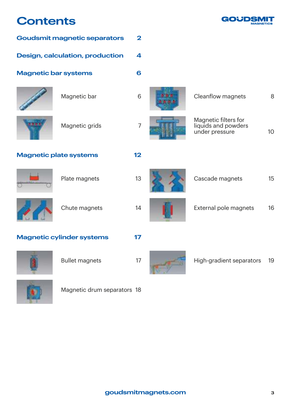# **Contents**



| <b>Goudsmit magnetic separators</b> |                                  | $\overline{\mathbf{2}}$ |                                                               |                 |
|-------------------------------------|----------------------------------|-------------------------|---------------------------------------------------------------|-----------------|
| Design, calculation, production     |                                  | 4                       |                                                               |                 |
| <b>Magnetic bar systems</b>         |                                  | 6                       |                                                               |                 |
|                                     | Magnetic bar                     | 6                       | Cleanflow magnets                                             | 8               |
|                                     | Magnetic grids                   | $\overline{7}$          | Magnetic filters for<br>liquids and powders<br>under pressure | 10 <sup>°</sup> |
|                                     | <b>Magnetic plate systems</b>    | 12                      |                                                               |                 |
|                                     | Plate magnets                    | 13                      | Cascade magnets                                               | 15              |
|                                     | Chute magnets                    | 14                      | External pole magnets                                         | 16              |
|                                     | <b>Magnetic cylinder systems</b> | 17                      |                                                               |                 |
|                                     | <b>Bullet magnets</b>            | 17                      | High-gradient separators                                      | 19              |



Magnetic drum separators 18



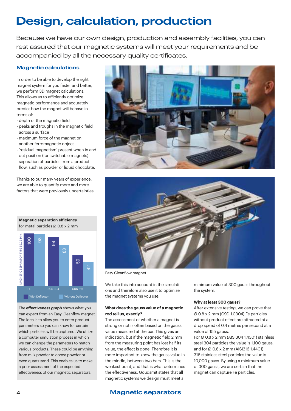# **Design, calculation, production**

Because we have our own design, production and assembly facilities, you can rest assured that our magnetic systems will meet your requirements and be accompanied by all the necessary quality certificates.

#### **Magnetic calculations**

In order to be able to develop the right magnet system for you faster and better, we perform 3D magnet calculations. This allows us to efficiently optimize magnetic performance and accurately predict how the magnet will behave in terms of:

- depth of the magnetic field
- peaks and troughs in the magnetic field across a surface
- maximum force of the magnet on another ferromagnetic object
- 'residual magnetism' present when in and out position (for switchable magnets)
- separation of particles from a product flow, such as powder or liquid chocolate.

Thanks to our many years of experience, we are able to quantify more and more factors that were previously uncertainties.



The **effectiveness graph** shows what you can expect from an Easy Cleanflow magnet. The idea is to allow you to enter product parameters so you can know for certain which particles will be captured. We utilize a computer simulation process in which we can change the parameters to match various products. These could be anything from milk powder to cocoa powder or even quartz sand. This enables us to make a prior assessment of the expected effectiveness of our magnetic separators.





Easy Cleanflow magnet

We take this into account in the simulations and therefore also use it to optimize the magnet systems you use.

#### **What does the gauss value of a magnetic rod tell us, exactly?**

The assessment of whether a magnet is strong or not is often based on the gauss value measured at the bar. This gives an indication, but if the magnetic field 2 mm from the measuring point has lost half its value, the effect is gone. Therefore it is more important to know the gauss value in the middle, between two bars. This is the weakest point, and that is what determines the effectiveness. Goudsmit states that all magnetic systems we design must meet a

minimum value of 300 gauss throughout the system.

#### **Why at least 300 gauss?**

After extensive testing, we can prove that Ø 0.8 x 2 mm (C9D 1.0304) Fe particles without product effect are attracted at a drop speed of 0.4 metres per second at a value of 155 gauss.

For Ø 0.8 x 2 mm (AISI304 1.4301) stainless steel 304 particles the value is 1,100 gauss, and for Ø 0.8 x 2 mm (AISI316 1.4401) 316 stainless steel particles the value is 10,000 gauss. By using a minimum value of 300 gauss, we are certain that the magnet can capture Fe particles.

# **4 Magnetic separators**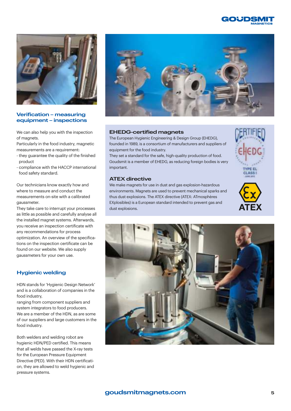



#### **Verification – measuring equipment – inspections**

We can also help you with the inspection of magnets.

Particularly in the food industry, magnetic measurements are a requirement:

- they guarantee the quality of the finished product
- compliance with the HACCP international food safety standard.

Our technicians know exactly how and where to measure and conduct the measurements on-site with a calibrated gaussmeter.

They take care to interrupt your processes as little as possible and carefully analyse all the installed magnet systems. Afterwards, you receive an inspection certificate with any recommendations for process optimization. An overview of the specifications on the inspection certificate can be found on our website. We also supply gaussmeters for your own use.

### **Hygienic welding**

HDN stands for 'Hygienic Design Network' and is a collaboration of companies in the food industry,

ranging from component suppliers and system integrators to food producers. We are a member of the HDN, as are some of our suppliers and large customers in the food industry.

Both welders and welding robot are hygienic HDN/PED certified. This means that all welds have passed the X-ray tests for the European Pressure Equipment Directive (PED). With their HDN certification, they are allowed to weld hygienic and pressure systems.



#### **EHEDG-certified magnets**

The European Hygienic Engineering & Design Group (EHEDG), founded in 1989, is a consortium of manufacturers and suppliers of equipment for the food industry.

They set a standard for the safe, high-quality production of food. Goudsmit is a member of EHEDG, as reducing foreign bodies is very important.

#### **ATEX directive**

We make magnets for use in dust and gas explosion-hazardous environments. Magnets are used to prevent mechanical sparks and thus dust explosions. The ATEX directive (ATEX: ATmosphères EXplosibles) is a European standard intended to prevent gas and dust explosions.





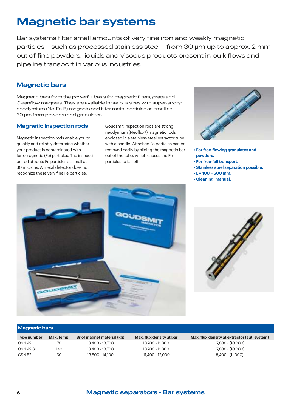# **Magnetic bar systems**

Bar systems filter small amounts of very fine iron and weakly magnetic particles – such as processed stainless steel – from 30 µm up to approx. 2 mm out of fine powders, liquids and viscous products present in bulk flows and pipeline transport in various industries.

# **Magnetic bars**

Magnetic bars form the powerful basis for magnetic filters, grate and Cleanflow magnets. They are available in various sizes with super-strong neodymium (Nd-Fe-B) magnets and filter metal particles as small as 30 µm from powders and granulates.

#### **Magnetic inspection rods**

Magnetic inspection rods enable you to quickly and reliably determine whether your product is contaminated with ferromagnetic (Fe) particles. The inspection rod attracts Fe particles as small as 30 microns. A metal detector does not recognize these very fine Fe particles.

Goudsmit inspection rods are strong neodymium (Neoflux®) magnetic rods enclosed in a stainless steel extractor tube with a handle. Attached Fe particles can be removed easily by sliding the magnetic bar out of the tube, which causes the Fe particles to fall off.



- **For free-flowing granulates and powders.**
- **For free-fall transport.**
- **Stainless steel separation possible.**
- **L = 100 600 mm.**
- **Cleaning: manual.**





#### **Magnetic bars**

| Type number   | Max. temp. | Br of magnet material (kg) | Max. flux density at bar | Max. flux density at extractor (aut. system) |
|---------------|------------|----------------------------|--------------------------|----------------------------------------------|
| GSN 42        | 70         | 13,400 - 13,700            | 10.700 - 11.000          | 7,800 - (10,000)                             |
| GSN 42 SH     | 140        | 13,400 - 13,700            | 10.700 - 11.000          | $7.800 - (10.000)$                           |
| <b>GSN 52</b> | 60         | 13.800 - 14.100            | 11.400 - 12.000          | 8,400 - (11,000)                             |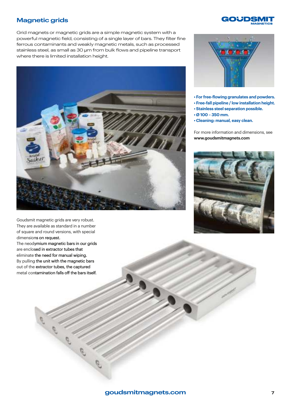# **Magnetic grids**



Grid magnets or magnetic grids are a simple magnetic system with a powerful magnetic field, consisting of a single layer of bars. They filter fine ferrous contaminants and weakly magnetic metals, such as processed stainless steel, as small as 30 µm from bulk flows and pipeline transport where there is limited installation height.



Goudsmit magnetic grids are very robust. They are available as standard in a number of square and round versions, with special dimensions on request.

The neodymium magnetic bars in our grids are enclosed in extractor tubes that eliminate the need for manual wiping. By pulling the unit with the magnetic bars out of the extractor tubes, the captured metal contamination falls off the bars itself.



- **For free-flowing granulates and powders.**
- **Free-fall pipeline / low installation height.**
- **Stainless steel separation possible.**
- **Ø 100 350 mm.**
- **Cleaning: manual, easy clean.**

For more information and dimensions, see **www.goudsmitmagnets.com**

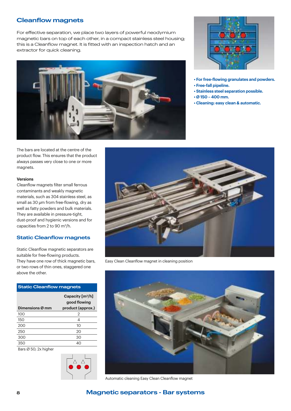# **Cleanflow magnets**

For effective separation, we place two layers of powerful neodymium magnetic bars on top of each other, in a compact stainless steel housing; this is a Cleanflow magnet. It is fitted with an inspection hatch and an extractor for quick cleaning.





- **For free-flowing granulates and powders.**
- **Free-fall pipeline.**
- **Stainless steel separation possible.**
- **Ø 150 400 mm.**
- **Cleaning: easy clean & automatic.**

The bars are located at the centre of the product flow. This ensures that the product always passes very close to one or more magnets.

#### **Versions**

Cleanflow magnets filter small ferrous contaminants and weakly magnetic materials, such as 304 stainless steel, as small as 30 µm from free-flowing, dry as well as fatty powders and bulk materials. They are available in pressure-tight, dust-proof and hygienic versions and for capacities from 2 to 90 m<sup>3</sup> /h.

#### **Static Cleanflow magnets**

Static Cleanflow magnetic separators are suitable for free-flowing products. They have one row of thick magnetic bars, or two rows of thin ones, staggered one above the other.

#### **Static Cleanflow magnets**

|                 | Capacity $[m^3/h]$<br>good flowing |
|-----------------|------------------------------------|
| Dimensions Ø mm | product (approx.)                  |
| 100             | 2                                  |
| 150             | 4                                  |
| 200             | 10                                 |
| 250             | 20                                 |
| 300             | 30                                 |
| 350             | 40                                 |
|                 |                                    |

Bars Ø 50; 2x higher





Easy Clean Cleanflow magnet in cleaning position



Automatic cleaning Easy Clean Cleanflow magnet

# **8 Magnetic separators - Bar systems**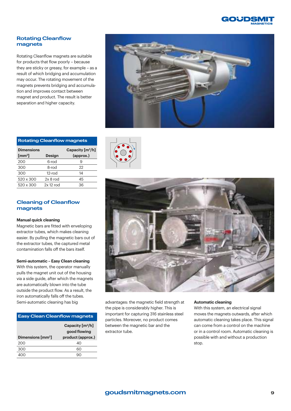

#### **Rotating Cleanflow magnets**

Rotating Cleanflow magnets are suitable for products that flow poorly – because they are sticky or greasy, for example – as a result of which bridging and accumulation may occur. The rotating movement of the magnets prevents bridging and accumulation and improves contact between magnet and product. The result is better separation and higher capacity.



| <b>Rotating Cleanflow magnets</b>      |               |                                 |  |  |  |  |
|----------------------------------------|---------------|---------------------------------|--|--|--|--|
| <b>Dimensions</b><br>$\mathrm{[mm^2]}$ | <b>Design</b> | Capacity $[m^3/h]$<br>(approx.) |  |  |  |  |
| 200                                    | 6-rod         | 9                               |  |  |  |  |
| 300                                    | 8-rod         | 22                              |  |  |  |  |
| 300                                    | $12$ -rod     | 14                              |  |  |  |  |
| 520 x 300                              | $2x8$ rod     | 45                              |  |  |  |  |
| 520 x 300                              | $2x 12$ rod   | 36                              |  |  |  |  |

#### **Cleaning of Cleanflow magnets**

#### **Manual quick cleaning**

Magnetic bars are fitted with enveloping extractor tubes, which makes cleaning easier. By pulling the magnetic bars out of the extractor tubes, the captured metal contamination falls off the bars itself.

#### **Semi-automatic – Easy Clean cleaning**

With this system, the operator manually pulls the magnet unit out of the housing via a side guide, after which the magnets are automatically blown into the tube outside the product flow. As a result, the iron automatically falls off the tubes.

#### **Easy Clean Cleanflow magnets**

|                                   | Capacity $[m^3/h]$<br>good flowing |
|-----------------------------------|------------------------------------|
| Dimensions $\text{[mm}^2\text{]}$ | product (approx.)                  |
| 200                               | 40                                 |
| 300                               | 60                                 |
|                                   |                                    |





Semi-automatic cleaning has big and vantages: the magnetic field strength at the pipe is considerably higher. This is important for capturing 316 stainless steel particles. Moreover, no product comes between the magnetic bar and the extractor tube.

#### **Automatic cleaning**

With this system, an electrical signal moves the magnets outwards, after which automatic cleaning takes place. This signal can come from a control on the machine or in a control room. Automatic cleaning is possible with and without a production stop.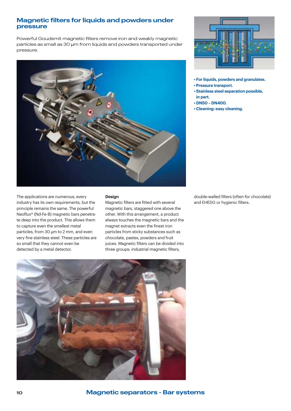### **Magnetic filters for liquids and powders under pressure**

Powerful Goudsmit magnetic filters remove iron and weakly magnetic particles as small as 30 µm from liquids and powders transported under pressure.



The applications are numerous; every industry has its own requirements, but the principle remains the same. The powerful Neoflux® (Nd-Fe-B) magnetic bars penetrate deep into the product. This allows them to capture even the smallest metal particles, from 30 µm to 2 mm, and even very fine stainless steel. These particles are so small that they cannot even be detected by a metal detector.

#### **Design**

Magnetic filters are fitted with several magnetic bars, staggered one above the other. With this arrangement, a product always touches the magnetic bars and the magnet extracts even the finest iron particles from sticky substances such as chocolate, pastes, powders and fruit juices. Magnetic filters can be divided into three groups: industrial magnetic filters,



- **For liquids, powders and granulates.**
- **Pressure transport.**
- **Stainless steel separation possible, in part.**
- **DN50 DN400.**
- **Cleaning: easy cleaning.**

double-walled filters (often for chocolate) and EHEDG or hygienic filters.



**10 Magnetic separators - Bar systems**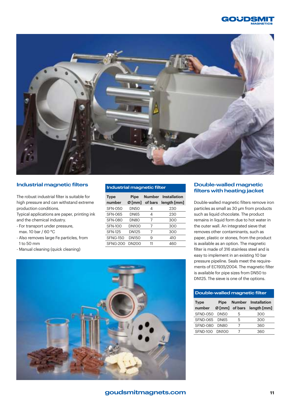



#### **Industrial magnetic filters**

The robust industrial filter is suitable for high pressure and can withstand extreme production conditions.

Typical applications are paper, printing ink and the chemical industry.

- For transport under pressure, max. 10 bar / 60 °C
- Also removes large Fe particles, from 1 to 50 mm
- Manual cleaning (quick cleaning)

| <b>Industrial magnetic filter</b> |                  |                |                                           |  |  |
|-----------------------------------|------------------|----------------|-------------------------------------------|--|--|
| <b>Type</b><br>number             | Pipe<br>$Ø$ [mm] | of bars        | <b>Number</b> Installation<br>length [mm] |  |  |
| <b>SFN-050</b>                    | <b>DN50</b>      | 4              | 230                                       |  |  |
| <b>SFN-065</b>                    | <b>DN65</b>      | 4              | 230                                       |  |  |
| <b>SFN-080</b>                    | DN80             | 7              | 300                                       |  |  |
| <b>SFN-100</b>                    | <b>DN100</b>     | $\overline{7}$ | 300                                       |  |  |
| <b>SFN-125</b>                    | DN125            | 7              | 300                                       |  |  |
| <b>SFNG-150</b>                   | <b>DN150</b>     | 9              | 410                                       |  |  |
| <b>SFNG-200</b>                   | <b>DN200</b>     | 11             | 460                                       |  |  |

#### **Double-walled magnetic filters with heating jacket**

Double-walled magnetic filters remove iron particles as small as 30 µm from products such as liquid chocolate. The product remains in liquid form due to hot water in the outer wall. An integrated sieve that removes other contaminants, such as paper, plastic or stones, from the product is available as an option. The magnetic filter is made of 316 stainless steel and is easy to implement in an existing 10 bar pressure pipeline. Seals meet the requirements of EC1935/2004. The magnetic filter is available for pipe sizes from DN50 to DN125. The sieve is one of the options.

#### **Double-walled magnetic filter**

| <b>Type</b>     | Pipe              |   | <b>Number</b> Installation           |
|-----------------|-------------------|---|--------------------------------------|
| number          |                   |   | $\emptyset$ [mm] of bars length [mm] |
| <b>SFND-050</b> | DN50              | 5 | 300                                  |
| <b>SFND-065</b> | DN <sub>65</sub>  | 5 | 300                                  |
| SFND-080        | DN80              | 7 | 360                                  |
| <b>SFND-100</b> | DN <sub>100</sub> |   | 360                                  |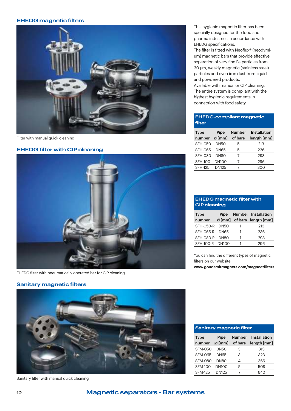#### **EHEDG magnetic filters**



Filter with manual quick cleaning

#### **EHEDG filter with CIP cleaning**



EHEDG filter with pneumatically operated bar for CIP cleaning

#### **Sanitary magnetic filters**



Sanitary filter with manual quick cleaning

This hygienic magnetic filter has been specially designed for the food and pharma industries in accordance with EHEDG specifications.

The filter is fitted with Neoflux® (neodymium) magnetic bars that provide effective separation of very fine Fe particles from 30 µm, weakly magnetic (stainless steel) particles and even iron dust from liquid and powdered products.

Available with manual or CIP cleaning. The entire system is compliant with the highest hygienic requirements in connection with food safety.

#### **EHEDG-compliant magnetic filter**

| <b>Type</b><br>number | <b>Pipe</b><br>$Ø$ [mm] | <b>Number</b><br>of bars | <b>Installation</b><br>length [mm] |
|-----------------------|-------------------------|--------------------------|------------------------------------|
| SFH-050               | <b>DN50</b>             | 5                        | 213                                |
| SFH-065               | <b>DN65</b>             | 5                        | 236                                |
| <b>SFH-080</b>        | <b>DN80</b>             | 7                        | 293                                |
| <b>SFH-100</b>        | <b>DN100</b>            | 7                        | 296                                |
| <b>SFH-125</b>        | <b>DN125</b>            | 7                        | 300                                |

#### **EHEDG magnetic filter with CIP cleaning**

| <b>Type</b>      | Pipe             |   | <b>Number Installation</b>           |
|------------------|------------------|---|--------------------------------------|
| number           |                  |   | $\emptyset$ [mm] of bars length [mm] |
| <b>SFH-050-R</b> | <b>DN50</b>      |   | 213                                  |
| SFH-065-R        | <b>DN65</b>      |   | 236                                  |
| SFH-080-R        | DN <sub>80</sub> |   | 293                                  |
| SFH-100-R DN100  |                  | 1 | 296                                  |

You can find the different types of magnetic filters on our website **www.goudsmitmagnets.com/magneetfilters**

| <b>Sanitary magnetic filter</b> |                         |                          |                                    |  |  |
|---------------------------------|-------------------------|--------------------------|------------------------------------|--|--|
| <b>Type</b><br>number           | <b>Pipe</b><br>$Ø$ [mm] | <b>Number</b><br>of bars | <b>Installation</b><br>length [mm] |  |  |
| SFM-050                         | <b>DN50</b>             | З                        | 313                                |  |  |
| SFM-065                         | <b>DN65</b>             | З                        | 323                                |  |  |
| SFM-080                         | <b>DN80</b>             | Δ                        | 366                                |  |  |
| SFM-100                         | DN <sub>100</sub>       | 5                        | 508                                |  |  |
| <b>SFM-125</b>                  | DN125                   |                          | 640                                |  |  |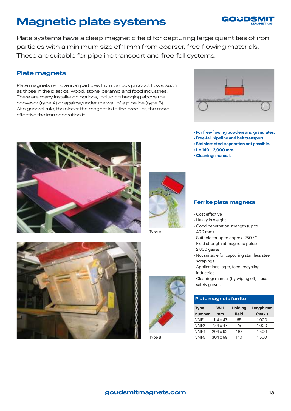# **Magnetic plate systems**



Plate systems have a deep magnetic field for capturing large quantities of iron particles with a minimum size of 1 mm from coarser, free-flowing materials. These are suitable for pipeline transport and free-fall systems.

# **Plate magnets**

Plate magnets remove iron particles from various product flows, such as those in the plastics, wood, stone, ceramic and food industries. There are many installation options, including hanging above the conveyor (type A) or against/under the wall of a pipeline (type B). At a general rule, the closer the magnet is to the product, the more effective the iron separation is.



- **For free-flowing powders and granulates.**
- **Free-fall pipeline and belt transport.**
- **Stainless steel separation not possible.**
- **L = 140 2,000 mm.**
- **Cleaning: manual.**





Type A





Type B

#### **Ferrite plate magnets**

- Cost effective
- Heavy in weight
- Good penetration strength (up to 400 mm)
- Suitable for up to approx. 250 °C
- Field strength at magnetic poles: 2,800 gauss
- Not suitable for capturing stainless steel scrapings
- Applications: agro, feed, recycling industries
- Cleaning: manual (by wiping off) use safety gloves

#### **Plate magnets ferrite**

| <b>Type</b>      | W-H             | <b>Holding</b> | Length mm |
|------------------|-----------------|----------------|-----------|
| number           | mm              | field          | (max.)    |
| VMF1             | $114 \times 47$ | 65             | 1.000     |
| VMF <sub>2</sub> | $154 \times 47$ | 75             | 1.000     |
| VMF4             | 204 x 92        | 110            | 1,500     |
| VMF <sub>5</sub> | $304 \times 99$ | 140            | 1,500     |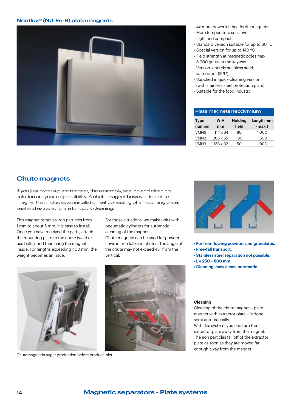#### **Neoflux® (Nd-Fe-B) plate magnets**



- 4x more powerful than ferrite magnets
- More temperature sensitive
- Light and compact
- Standard version suitable for up to 60 °C
- Special version for up to 140 °C
- Field strength at magnetic poles max. 8,000 gauss at the keyway
- Version: entirely stainless steel; waterproof (IP67)
- Supplied in quick-cleaning version
- (with stainless steel protection plate)
- Suitable for the food industry

| Plate magnets neodymium                                                                |                 |     |       |  |
|----------------------------------------------------------------------------------------|-----------------|-----|-------|--|
| <b>Holding</b><br>Length mm<br>$W-H$<br><b>Type</b><br>number<br>(max.)<br>field<br>mm |                 |     |       |  |
| VMN <sub>6</sub>                                                                       | $114 \times 34$ | 80  | 1.000 |  |
| VMN <sub>2</sub>                                                                       | $205 \times 55$ | 180 | 1,500 |  |
| VMN3                                                                                   | 158 x 32        | 50  | 1.000 |  |

# **Chute magnets**

If you just order a plate magnet, the assembly, sealing and cleaning solution are your responsibility. A chute magnet however, is a plate magnet that includes an installation set consisting of a mounting plate, seal and extractor plate for quick cleaning.

This magnet removes iron particles from 1 mm to about 5 mm. It is easy to install. Once you have received the parts, attach the mounting plate to the chute (weld or use bolts), and then hang the magnet inside. For lengths exceeding 400 mm, the weight becomes an issue.

For those situations, we make units with pneumatic cylinders for automatic cleaning of the magnet.

Chute magnets can be used for powder flows in free fall or in chutes. The angle of the chute may not exceed 45° from the vertical.



Chutemagnet in sugar production before product inlet





**• Free-fall transport.**

**• L = 250 – 800 mm.**

Cleaning of the chute magnet – plate magnet with extractor plate – is done semi-automatically.

**• For free-flowing powders and granulates.**

**• Stainless steel separation not possible.**

**• Cleaning: easy clean, automatic.**

With this system, you can turn the extractor plate away from the magnet. The iron particles fall off of the extractor plate as soon as they are moved far enough away from the magnet.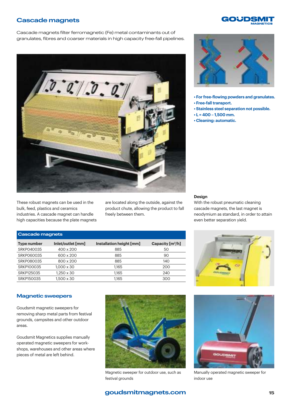### **Cascade magnets**

Cascade magnets filter ferromagnetic (Fe) metal contaminants out of granulates, fibres and coarser materials in high capacity free-fall pipelines.



These robust magnets can be used in the bulk, feed, plastics and ceramics industries. A cascade magnet can handle high capacities because the plate magnets are located along the outside, against the product chute, allowing the product to fall freely between them.



GOUDSI

- **For free-flowing powders and granulates. • Free-fall transport.**
- **Stainless steel separation not possible.**
- **L = 400 1,500 mm.**
- **Cleaning: automatic.**

#### **Design**

With the robust pneumatic cleaning cascade magnets, the last magnet is neodymium as standard, in order to attain even better separation yield.

#### **Cascade magnets**

| Type number | Inlet/outlet [mm] | Installation height [mm] | Capacity $[m^3/h]$ |
|-------------|-------------------|--------------------------|--------------------|
| SRKP040035  | 400 x 200         | 885                      | 50                 |
| SRKP060035  | 600 x 200         | 885                      | 90                 |
| SRKP080035  | 800 x 200         | 885                      | 140                |
| SRKP100035  | $1,000 \times 30$ | 1.165                    | 200                |
| SRKP125035  | $1.250 \times 30$ | 1.165                    | 240                |
| SRKP150035  | $1.500 \times 30$ | 1.165                    | 300                |



#### **Magnetic sweepers**

Goudsmit magnetic sweepers for removing sharp metal parts from festival grounds, campsites and other outdoor areas.

Goudsmit Magnetics supplies manually operated magnetic sweepers for workshops, warehouses and other areas where pieces of metal are left behind.



Magnetic sweeper for outdoor use, such as festival grounds



Manually operated magnetic sweeper for indoor use

# **goudsmitmagnets.com**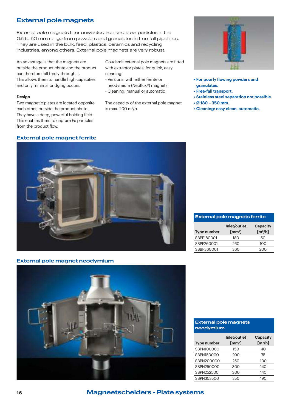# **External pole magnets**

External pole magnets filter unwanted iron and steel particles in the 0.5 to 50 mm range from powders and granulates in free-fall pipelines. They are used in the bulk, feed, plastics, ceramics and recycling industries, among others. External pole magnets are very robust.

An advantage is that the magnets are outside the product chute and the product can therefore fall freely through it. This allows them to handle high capacities and only minimal bridging occurs.

#### **Design**

Two magnetic plates are located opposite each other, outside the product chute. They have a deep, powerful holding field. This enables them to capture Fe particles from the product flow.

### Goudsmit external pole magnets are fitted with extractor plates, for quick, easy cleaning.

- Versions: with either ferrite or neodymium (Neoflux®) magnets
- Cleaning: manual or automatic

The capacity of the external pole magnet is max. 200 m<sup>3</sup>/h.



- **For poorly flowing powders and granulates.**
- **Free-fall transport.**
- **Stainless steel separation not possible.**
- **Ø 180 350 mm.**
- **Cleaning: easy clean, automatic.**

#### **External pole magnet ferrite**



#### **External pole magnets ferrite**

| Type number | Inlet/outlet<br>$\text{[mm}^2$ | <b>Capacity</b><br>$\left[\frac{m^3}{h}\right]$ |
|-------------|--------------------------------|-------------------------------------------------|
| SBPF180001  | 180                            | 50                                              |
| SBPF260001  | 260                            | 100                                             |
| SBBF360001  | 360                            | 200                                             |

#### **External pole magnet neodymium**



#### **External pole magnets neodymium**

| <b>Type number</b> | Inlet/outlet<br>$\text{[mm$^2$]}$ | <b>Capacity</b><br>$\mathrm{[m^3/h]}$ |
|--------------------|-----------------------------------|---------------------------------------|
| SBPN100000         | 150                               | 40                                    |
| SBPN150000         | 200                               | 75                                    |
| SBPN200000         | 250                               | 100                                   |
| SBPN250000         | 300                               | 140                                   |
| SBPN252500         | 300                               | 140                                   |
| SBPN353500         | 350                               | 190                                   |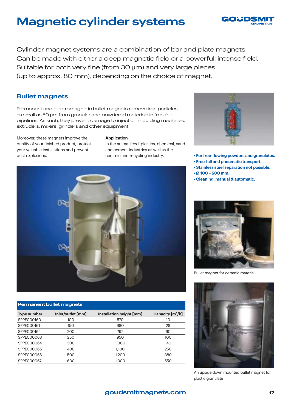# **Magnetic cylinder systems**



Cylinder magnet systems are a combination of bar and plate magnets. Can be made with either a deep magnetic field or a powerful, intense field. Suitable for both very fine (from 30 um) and very large pieces (up to approx. 80 mm), depending on the choice of magnet.

### **Bullet magnets**

Permanent and electromagnetic bullet magnets remove iron particles as small as 50 µm from granular and powdered materials in free-fall pipelines. As such, they prevent damage to injection moulding machines, extruders, mixers, grinders and other equipment.

Moreover, these magnets improve the quality of your finished product, protect your valuable installations and prevent dust explosions.

#### **Application**

in the animal feed, plastics, chemical, sand and cement industries as well as the ceramic and recycling industry.



#### **Permanent bullet magnets**

| Type number | Inlet/outlet [mm] | Installation height [mm] | Capacity $\left[\frac{m^3}{h}\right]$ |
|-------------|-------------------|--------------------------|---------------------------------------|
| SPPE000160  | 100               | 570                      | 10                                    |
| SPPE000161  | 150               | 680                      | 28                                    |
| SPPE000162  | 200               | 792                      | 60                                    |
| SPPE000063  | 250               | 950                      | 100                                   |
| SPPE000064  | 300               | 1.000                    | 140                                   |
| SPPE000065  | 400               | 1.100                    | 250                                   |
| SPPE000066  | 500               | 1.200                    | 380                                   |
| SPPE000067  | 600               | 1.300                    | 550                                   |



- **For free-flowing powders and granulates.**
- **Free-fall and pneumatic transport.**
- **Stainless steel separation not possible.**
- **Ø 100 600 mm.**
- **Cleaning: manual & automatic.**



Bullet magnet for ceramic material



An upside down mounted bullet magnet for plastic granulate

### **goudsmitmagnets.com**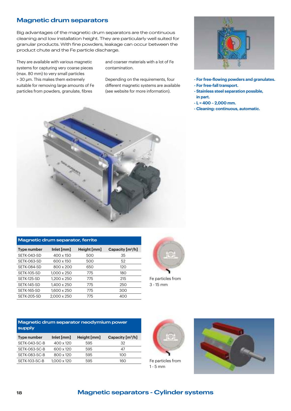# **Magnetic drum separators**

Big advantages of the magnetic drum separators are the continuous cleaning and low installation height. They are particularly well suited for granular products. With fine powders, leakage can occur between the product chute and the Fe particle discharge.

They are available with various magnetic systems for capturing very coarse pieces (max. 80 mm) to very small particles > 30 µm. This makes them extremely suitable for removing large amounts of Fe particles from powders, granulate, fibres

and coarser materials with a lot of Fe contamination.

Depending on the requirements, four different magnetic systems are available (see website for more information).



- **For free-flowing powders and granulates.**
- **For free-fall transport.**
- **Stainless steel separation possible, in part.**
- **L = 400 2,000 mm.**
- **Cleaning: continuous, automatic.**



#### **Magnetic drum separator, ferrite**

| <b>Type number</b> | Inlet [mm]  | Height [mm] | Capacity $\left[\frac{m^3}{h}\right]$ |
|--------------------|-------------|-------------|---------------------------------------|
| SETK-043-SD        | 400 x 150   | 500         | 35                                    |
| SETK-063-SD        | 600 x 150   | 500         | 52                                    |
| SETK-084-SD        | 800 x 200   | 650         | 120                                   |
| SETK-105-SD        | 1.000 x 250 | 775         | 180                                   |
| SETK-125-SD        | 1.200 x 250 | 775         | 215                                   |
| SETK-145-SD        | 1.400 x 250 | 775         | 250                                   |
| SETK-165-SD        | 1.600 x 250 | 775         | 300                                   |
| SETK-205-SD        | 2.000 x 250 | 775         | 400                                   |



Fe particles from 3 - 15 mm

| Magnetic drum separator neodymium power |
|-----------------------------------------|
| <b>Supply</b>                           |

| Type number   | Inlet [mm]  | Height [mm] | Capacity $\left[\frac{m^3}{h}\right]$ |
|---------------|-------------|-------------|---------------------------------------|
| SETK-043-SC-B | 400 x 120   | 595         | 32                                    |
| SETK-063-SC-B | 600 x 120   | 595         | 47                                    |
| SETK-083-SC-B | 800 x 120   | 595         | 100                                   |
| SETK-103-SC-B | 1.000 x 120 | 595         | 160                                   |



Fe particles from 1 - 5 mm

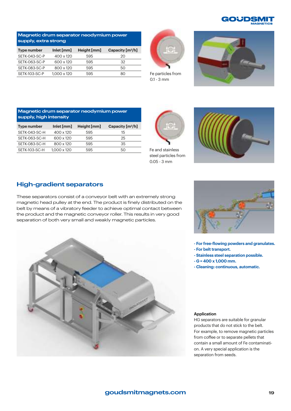

#### **Magnetic drum separator neodymium power supply, extra strong**

| Type number   | Inlet [mm]  | Height [mm] | Capacity $[m^3/h]$ |
|---------------|-------------|-------------|--------------------|
| SETK-043-SC-P | 400 x 120   | 595         | 20                 |
| SETK-063-SC-P | 600 x 120   | 595         | 32                 |
| SETK-083-SC-P | 800 x 120   | 595         | 50                 |
| SETK-103-SC-P | 1.000 x 120 | 595         | 80                 |



Fe particles from 0.1 - 3 mm



#### **Magnetic drum separator neodymium power supply, high intensity**

| Type number   | Inlet $[mm]$ | Height [mm] | Capacity $[m^3/h]$ |
|---------------|--------------|-------------|--------------------|
| SETK-043-SC-H | 400 x 120    | 595         | 15                 |
| SETK-063-SC-H | 600 x 120    | 595         | 25                 |
| SETK-083-SC-H | 800 x 120    | 595         | 35                 |
| SETK-103-SC-H | 1.000 x 120  | 595         | 50                 |

Fe and stainless steel particles from 0.05 - 3 mm



# **High-gradient separators**

These separators consist of a conveyor belt with an extremely strong magnetic head pulley at the end. The product is finely distributed on the belt by means of a vibratory feeder to achieve optimal contact between the product and the magnetic conveyor roller. This results in very good separation of both very small and weakly magnetic particles.





**- For free-flowing powders and granulates.**

- **For belt transport.**
- **Stainless steel separation possible.**
- **G = 400 x 1,000 mm.**
- **Cleaning: continuous, automatic.**

#### **Application**

HG separators are suitable for granular products that do not stick to the belt. For example, to remove magnetic particles from coffee or to separate pellets that contain a small amount of Fe contamination. A very special application is the separation from seeds.